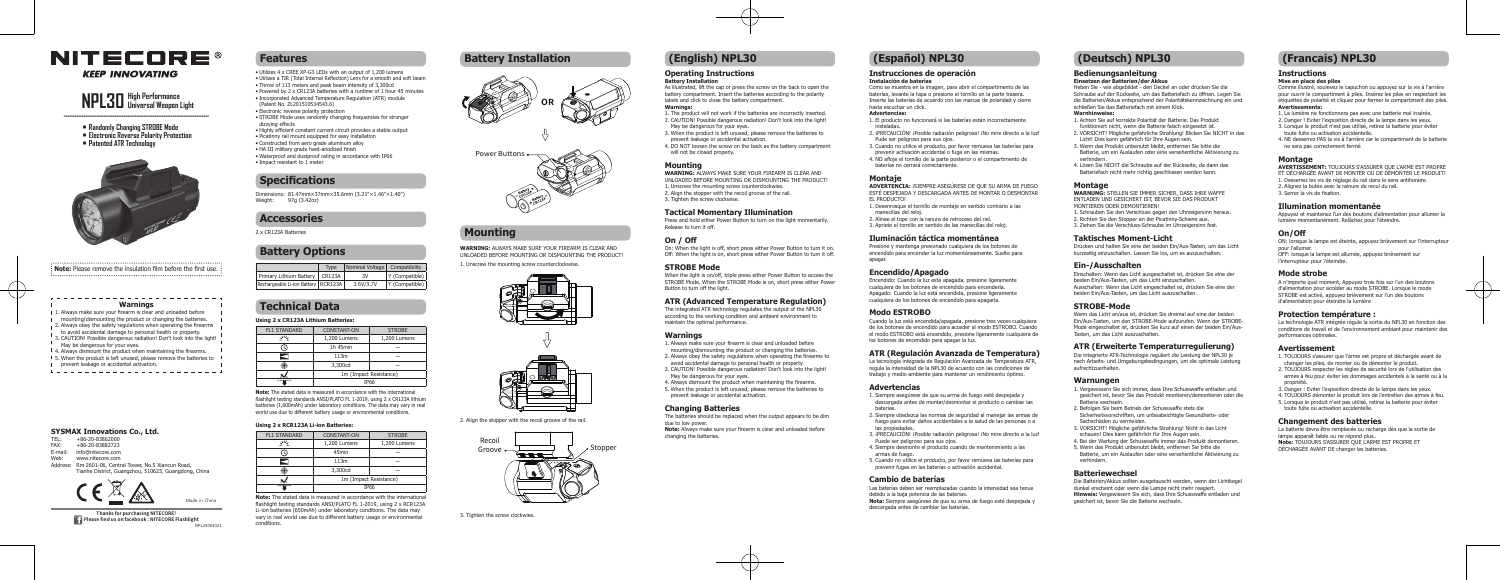

**KEEP INNOVATING** 

#### **Operating Instructions Battery Installation**

### As illustrated, lift the cap or press the screw on the back to open the

battery compartment. Insert the batteries according to the polarity labels and click to close the battery compartment.

#### **Warnings:**

- 1. The product will not work if the batteries are incorrectly inserted. 2. CAUTION! Possible dangerous radiation! Don't look into the light!
- May be dangerous for your eyes. 3. When the product is left unused, please remove the batteries to
- prevent leakage or accidental activation. 4. DO NOT loosen the screw on the back as the battery compartment
- will not be closed properly.

#### **Mounting**

WARNING: ALWAYS MAKE SURE YOUR FIREARM IS CLEAR AND UNLOADED BEFORE MOUNTING OR DISMOUNTING THE PRODUCT! 1. Unscrew the mounting screw counterclockwise. 2. Align the stopper with the recoil groove of the rail. 3. Tighten the screw clockwise.

#### **Tactical Momentary Illumination**

Press and hold either Power Button to turn on the light momentarily. Release to turn it off.

#### **On / Off**

On: When the light is off, short press either Power Button to turn it on. Off: When the light is on, short press either Power Button to turn it off.

#### **STROBE Mode**

When the light is on/off, triple press either Power Button to access the STROBE Mode. When the STROBE Mode is on, short press either Power Button to turn off the light.

#### **ATR (Advanced Temperature Regulation)**

The integrated ATR technology regulates the output of the NPL30 according to the working condition and ambient environment to maintain the ontimal performance

#### **Warnings**

- 1. Always make sure your firearm is clear and unloaded before
- mounting/dismounting the product or changing the batteries.
- 2. Always obey the safety regulations when operating the firearms to avoid accidental damage to personal health or property.
- 3. CAUTION! Possible dangerous radiation! Don't look into the light! May be dangerous for your eyes.
- 4. Always dismount the product when maintaining the firearms.
- 5. When the product is left unused, please remove the batteries to prevent leakage or accidental activation.

#### **Changing Batteries**

The batteries should be replaced when the output appears to be dim due to low power.

**Note:** Always make sure your firearm is clear and unloaded before changing the batteries.

## **Instrucciones de operación**

#### **Instalación de baterías**

Como se muestra en la imagen, para abrir el compartimento de las baterías, levante la tapa o presione el tornillo en la parte trasera. Inserte las baterías de acuerdo con las marcas de polaridad y cierre hasta escuchar un click. **Advertencias:**

- 1. El producto no funcionará si las baterías están incorrectamente
- instaladas. 2. ¡PRECAUCIÓN! ¡Posible radiación peligrosa! ¡No mire directo a la luz!
- Pude ser peligroso para sus ojos. 3. Cuando no utilice el producto, por favor remueva las baterías para
- prevenir activación accidental o fuga en las mismas. 4. NO afloje el tornillo de la parte posterior o el compartimento de
- baterías no cerrará correctamente.

#### **Montaje**

**ADVERTENCIA:** ¡SIEMPRE ASEGÚRESE DE QUE SU ARMA DE FUEGO ESTÉ DESPEJADA Y DESCARGADA ANTES DE MONTAR O DESMONTAR EL PRODUCTO! 1. Desenrosque el tornillo de montaje en sentido contrario a las manecillas del reloj.

- 2. Alinee el tope con la ranura de retroceso del riel.
- 3. Apriete el tornillo en sentido de las manecillas del reloj. **Iluminación táctica momentánea**  Presione y mantenga presionado cualquiera de los botones de

encendido para encender la luz momentáneamente. Suelte para

apagar.

**Encendido/Apagado**

Encendido: Cuando la luz está apagada, presione ligeramente cualquiera de los botones de encendido para encenderla. Apagado: Cuando la luz está encendida, presione ligeramente cualquiera de los botones de encendido para apagarla.

**Modo ESTROBO**

Cuando la luz está encendida/apagada, presione tres veces cualquiera de los botones de encendido para acceder al modo ESTROBO. Cuando el modo ESTROBO está encendido, presione ligeramente cualquiera de

los botones de encendido para apagar la luz.

**ATR (Regulación Avanzada de Temperatura)** La tecnología integrada de Regulación Avanzada de Temperatura ATR, regula la intensidad de la NPL30 de acuerdo con las condiciones de trabajo y medio ambiente para mantener un rendimiento óptimo.

**Advertencias**

1. Siempre asegúrese de que su arma de fuego esté despejada y descargada antes de montar/desmontar el producto o cambiar las

baterías.

2. Siempre obedezca las normas de seguridad al manejar las armas de fuego para evitar daños accidentales a la salud de las personas o a

las propiedades.

3. ¡PRECAUCIÓN! ¡Posible radiación peligrosa! ¡No mire directo a la luz!

Puede ser peligroso para sus ojos.

4. Siempre desmonte el producto cuando de mantenimiento a las

armas de fuego.

5. Cuando no utilice el producto, por favor remueva las baterías para prevenir fugas en las baterías o activación accidental.

**Cambio de baterías**

Las baterías deben ser reemplazadas cuando la intensidad sea tenue

debido a la baja potencia de las baterías.

**Nota:** Siempre asegúrese de que su arma de fuego esté despejada y

descargada antes de cambiar las baterías.

- 1. Always make sure your firearm is clear and unloaded before
- I mounting/dismounting the product or changing the batteries.
- 12. Always obey the safety regulations when operating the firearms to avoid accidental damage to personal health or property.
- 3. CAUTION! Possible dangerous radiation! Don't look into the light!
- May be dangerous for your eyes.
- <sup>1</sup> 4. Always dismount the product when maintaining the firearms. 15. When the product is left unused, please remove the batteries to
- 
- Prevent leakage or accidental activation.

## **SYSMAX Innovations Co., Ltd.**<br>TEL: +86-20-83862000

#### **Bedienungsanleitung**

#### **Einsetzen der Batterien/der Akkus**

Heben Sie - wie abgebildet - den Deckel an oder drücken Sie die Schraube auf der Rückseite, um das Batteriefach zu öffnen. Legen Sie die Batterien/Akkus entsprechend der Polaritätskennzeichnung ein und schließen Sie das Batteriefach mit einem Klick.

#### **Warnhinweise:**

- 1. Achten Sie auf korrekte Polarität der Batterie. Das Produkt funktioniert nicht, wenn die Batterie falsch eingesetzt ist. 2. VORSICHT! Mögliche gefährliche Strahlung! Blicken Sie NICHT in das
- Licht! Dies kann gefährlich für Ihre Augen sein. 3. Wenn das Produkt unbenutzt bleibt, entfernen Sie bitte die
- Batterie, um ein Auslaufen oder eine versehentliche Aktivierung zu verhindern.
- 4. Lösen Sie NICHT die Schraube auf der Rückseite, da dann das Batteriefach nicht mehr richtig geschlossen werden kann.

#### **Montage**

- **WARNUNG:** STELLEN SIE IMMER SICHER, DASS IHRE WAFFE ENTLADEN UND GESICHERT IST, BEVOR SIE DAS PRODUKT MONTIEREN ODER DEMONTIEREN!
- 1. Schrauben Sie den Verschluss gegen den Uhrzeigersinn heraus. 2. Richten Sie den Stopper an der Picatinny-Schiene aus. 3. Ziehen Sie die Verschluss-Schraube im Uhrzeigersinn fest.
- 

### **Taktisches Moment-Licht**

Drücken und halten Sie eine der beiden Ein/Aus-Tasten, um das Licht kurzzeitig einzuschalten. Lassen Sie los, um es auszuschalten.

#### **Ein-/Ausschalten**

Einschalten: Wenn das Licht ausgeschaltet ist, drücken Sie eine der beiden Ein/Aus-Tasten, um das Licht einzuschalten. Ausschalten: Wenn das Licht eingeschaltet ist, drücken Sie eine der beiden Ein/Aus-Tasten, um das Licht auszuschalten.

#### **STROBE-Mode**

Wenn das Licht an/aus ist, drücken Sie dreimal auf eine der beiden Ein/Aus-Tasten, um den STROBE-Mode aufzurufen. Wenn der STROBE-Mode eingeschaltet ist, drücken Sie kurz auf einen der beiden Ein/Aus-Tasten, um das Licht auszuschalten.

- TEL: +86-20-83862000
- FAX: +86-20-83882723
- E-mail: info@nitecore.com
- Web: www.nitecore.com Address: Rm 2601-06, Central Tower, No.5 Xiancun Road,
- Tianhe District, Guangzhou, 510623, Guangdong, China

**Please find us on facebook : NITECORE Flashlight** NPL29063021

#### **ATR (Erweiterte Temperaturregulierung)**

Die integrierte ATR-Technologie reguliert die Leistung der NPL30 je nach Arbeits- und Umgebungsbedingungen, um die optimale Leistung aufrechtzuerhalten.

#### **Warnungen**

- 1. Vergewissern Sie sich immer, dass Ihre Schusswaffe entladen und gesichert ist, bevor Sie das Produkt montieren/demontieren oder die Batterie wechseln.
- 2. Befolgen Sie beim Betrieb der Schusswaffe stets die
- Sicherheitsvorschriften, um unbeabsichtigte Gesundheits- oder Sachschäden zu vermeiden.
- 3. VORSICHT! Mögliche gefährliche Strahlung! Nicht in das Licht schauen! Dies kann gefährlich für Ihre Augen sein.
- 4. Bei der Wartung der Schusswaffe immer das Produkt demontieren. 5. Wenn das Produkt unbenutzt bleibt, entfernen Sie bitte die Batterie, um ein Auslaufen oder eine versehentliche Aktivierung zu
- verhindern.

### **Batteriewechsel**

Die Batterien/Akkus sollten ausgetauscht werden, wenn der Lichtkegel dunkel erscheint oder wenn die Lampe nicht mehr reagiert. **Hinweis:** Vergewissern Sie sich, dass Ihre Schusswaffe entladen und gesichert ist, bevor Sie die Batterie wechseln.

- **• Randomly Changing STROBE Mode**
- **• Electronic Reverse Polarity Protection**
- **• Patented ATR Technology**



# **NPL30 High Performance Universal Weapon Light**

## **Features Battery Installation (English) NPL30**

## **Mounting**

## **Specifications**

## **Accessories**

## **Battery Options**

## **Technical Data**

## **(Español) NPL30 (Deutsch) NPL30**

- Utilizes 4 x CREE XP-G3 LEDs with an output of 1,200 lumens • Utilizes a TIR (Total Internal Reflection) Lens for a smooth and soft beam • Throw of 113 meters and peak beam intensity of 3,300cd • Powered by 2 x CR123A batteries with a runtime of 1 hour 45 minutes
- Incorporated Advanced Temperature Regulation (ATR) module (Patent No. ZL201510534543.6) • Electronic reverse polarity protection
- STROBE Mode uses randomly changing frequencies for stronger dizzying effects
- Highly efficient constant current circuit provides a stable output
- Picatinny rail mount equipped for easy installation • Constructed from aero grade aluminum alloy
- HA III military grade hard-anodized finish
- Waterproof and dustproof rating in accordance with IP66
- Impact resistant to 1 meter

Dimensions: 81.47mm×37mm×35.6mm (3.21"×1.46"×1.40") Weight: 97g (3.42oz)

2 x CR123A Batteries

|                                       | Type | Nominal Voltage Compatibility |                |
|---------------------------------------|------|-------------------------------|----------------|
| Primary Lithium Battery   CR123A      |      | 3V                            | Y (Compatible) |
| Rechargeable Li-ion Battery   RCR123A |      | 3.6V/3.7V                     | Y (Compatible) |

#### **Using 2 x CR123A Lithium Batteries:**

| <b>FL1 STANDARD</b> | <b>CONSTANT-ON</b>     | <b>STROBE</b> |  |  |
|---------------------|------------------------|---------------|--|--|
| رىمل                | 1,200 Lumens           | 1,200 Lumens  |  |  |
|                     | 1h 45min               |               |  |  |
|                     | 113m                   |               |  |  |
|                     | 3,300cd                |               |  |  |
|                     | 1m (Impact Resistance) |               |  |  |
| $\sim$              | <b>IP66</b>            |               |  |  |
|                     |                        |               |  |  |

**Note:** The stated data is measured in accordance with the international flashlight testing standards ANSI/PLATO FL 1-2019, using 2 x CR123A lithium batteries (1,600mAh) under laboratory conditions. The data may vary in real world use due to different battery usage or environmental conditions.

#### **Using 2 x RCR123A Li-ion Batteries:**

| <b>FL1 STANDARD</b> | CONSTANT-ON            | <b>STROBE</b> |  |
|---------------------|------------------------|---------------|--|
| м                   | 1,200 Lumens           | 1,200 Lumens  |  |
|                     | 45min                  |               |  |
|                     | 113m                   |               |  |
|                     | 3,300cd                |               |  |
|                     | 1m (Impact Resistance) |               |  |
|                     | <b>IP66</b>            |               |  |
|                     |                        |               |  |

**Note:** The stated data is measured in accordance with the international flashlight testing standards ANSI/PLATO FL 1-2019, using 2 x RCR123A Li-ion batteries (650mAh) under laboratory conditions. The data may vary in real world use due to different battery usage or environmental conditions.

#### **Warnings**





**WARNING:** ALWAYS MAKE SURE YOUR FIREARM IS CLEAR AND UNLOADED BEFORE MOUNTING OR DISMOUNTING THE PRODUCT!

1. Unscrew the mounting screw counterclockwise.





2. Align the stopper with the recoil groove of the rail.





#### **Instructions**

#### **Mise en place des piles**

Comme illustré, soulevez le capuchon ou appuyez sur la vis à l'arrière pour ouvrir le compartiment à piles. Insérez les piles en respectant les étiquettes de polarité et cliquez pour fermer le compartiment des piles. **Avertissements:**

- 1. La lumière ne fonctionnera pas avec une batterie mal insérée.
- 2. Danger ! Eviter l'exposition directe de la lampe dans les yeux. 3. Lorsque le produit n'est pas utilisé, retirez la batterie pour éviter
- toute fuite ou activation accidentelle. 4. NE desserrez PAS la vis à l'arrière car le compartiment de la batterie
- ne sera pas correctement fermé

#### **Montage**

**AVERTISSEMENT:** TOUJOURS S'ASSURER QUE L'ARME EST PROPRE ET DÉCHARGÉE AVANT DE MONTER OU DE DÉMONTER LE PRODUIT!

- 1. Desserrez les vis de réglage du rail dans le sens antihoraire.
- 2. Alignez la butée avec la rainure de recul du rail.

### 3. Serrer la vis de fixation.

#### **Illumination momentanée**

Appuyez et maintenez l'un des boutons d'alimentation pour allumer la lumière momentanément. Relâchez pour l'éteindre.

#### **On/Off**

ON: lorsque la lampe est éteinte, appuyez brièvement sur l'interrupteur pour l'allumer.

OFF: lorsque la lampe est allumée, appuyez brièvement sur l'interrupteur pour l'éteindre.

#### **Mode strobe**

A n'importe quel moment, Appuyez trois fois sur l'un des boutons d'alimentation pour accéder au mode STROBE. Lorsque le mode STROBE est activé, appuyez brièvement sur l'un des boutons d'alimentation pour éteindre la lumière

#### **Protection température :**

La technologie ATR intégrée régule la sortie du NPL30 en fonction des conditions de travail et de l'environnement ambiant pour maintenir des performances optimales.

#### **Avertissement**

- 1. TOUJOURS s'assurer que l'arme est propre et déchargée avant de changer les piles, de monter ou de démonter le produit.
- 2. TOUJOURS respecter les règles de sécurité lors de l'utilisation des armes à feu pour éviter les dommages accidentels à la santé ou à la propriété.
- 3. Danger : Eviter l'exposition directe de la lampe dans les yeux.
- 4. TOUJOURS démonter le produit lors de l'entretien des armes à feu. 5. Lorsque le produit n'est pas utilisé, retirez la batterie pour éviter
- toute fuite ou activation accidentelle.

#### **Changement des batteries**

La batterie devra être remplacée ou recharge dès que la sortie de lampe apparaît faible ou ne répond plus.. **Note:** TOUJOURS S'ASSURER QUE L'ARME EST PROPRE ET DÉCHARGÉE AVANT DE changer les batteries.

## **(Francais) NPL30**



**Note:** Please remove the insulation film before the first use.